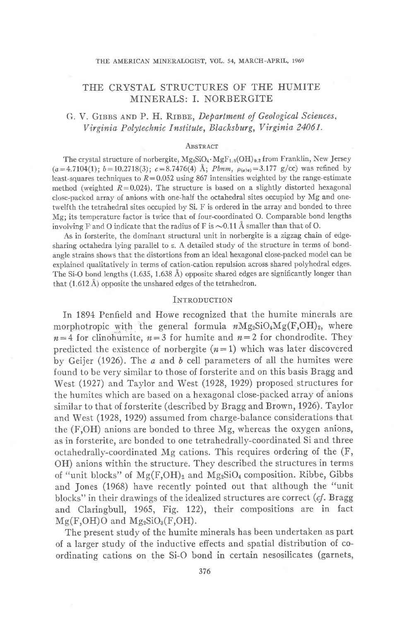# THE CRYSTAL STRUCTURES OF THE HUMITE MINERALS: I. NORBERGITE

# G. V. GIBBS AND P. H. RIBBE, Department of Geological Sciences, Virginia Polytechnic Institute, Blacksburg, Virginia 24061.

#### ABSTRACT

The crystal structure of norbergite,  $Mg_2SiO_4 \cdot MgF_{1,8}(OH)_{0,2}$  from Franklin, New Jersey  $(a=4.7104(1); b=10.2718(3); c=8.7476(4)$  Å; Pbnm,  $\rho_{(0^{18})}=3.177$  g/cc) was refined by least-squares techniques to  $R = 0.052$  using 867 intensities weighted by the range-estimate method (weighted  $R=0.024$ ). The structure is based on a slightly distorted hexagonal close-packed array of anions with one-half the octahedral sites occupied by Mg and onetwelfth the tetrahedral sites occupied by Si. F is ordered in the array and bonded to three Mg; its temperature factor is twice that of four-coordinated O. Comparable bond lengths involving F and O indicate that the radius of F is  $\sim 0.11$  Å smaller than that of O.

As in forsterite, the dominant structural unit in norbergite is a zigzag chain of edgesharing octahedra lying parallel to z. A detailed study of the structure in terms of bondangle strains shows that the distortions from an ideal hexagonal close-packed model can be explained qualitatively in terms of cation-cation repulsion across shared polyhedral edges. The Si-O bond lengths (1.635, 1.638 Å) opposite shared edges are significantly longer than that  $(1.612 \text{ Å})$  opposite the unshared edges of the tetrahedron.

### INTRODUCTION

In 1894 Penfield and Howe recognized that the humite minerals are morphotropic with the general formula nMg<sub>2</sub>SiO<sub>4</sub>Mg(F,OH)<sub>2</sub>, where  $n=4$  for clinohumite,  $n=3$  for humite and  $n=2$  for chondrodite. They predicted the existence of norbergite  $(n=1)$  which was later discovered by Geiler (1926). The  $a$  and  $b$  cell parameters of all the humites were found to be very similar to those of forsterite and on this basis Bragg and West (1927) and Taylor and West (1928, 1929) proposed structures for the humites which are based on a hexagonal close-packed array of anions similar to that of forsterite (described by Bragg and Brown, 1926). Taylor and West (1928, 1929) assumed from charge-balance considerations that the (F,OH) anions are bonded to three Mg, whereas the oxygen anions, as in forsterite, are bonded to one tetrahedrally-coordinated Si and three octahedrally-coordinated Mg cations. This requires ordering of the (F, OH) anions within the structure. They described the structures in terms of "unit blocks" of  $Mg(F,OH)_2$  and  $Mg_2SiO_4$  composition. Ribbe, Gibbs and Jones (1968) have recently pointed out that although the "unit blocks" in their drawings of the idealized structures are correct  $(cf.$  Bragg and Claringbull, 1965, Fig. 122), their compositions are in fact  $Mg(F,OH)O$  and  $Mg_2SiO_3(F,OH)$ .

The present study of the humite minerals has been undertaken as part of a larger study of the inductive effects and spatial distribution of coordinating cations on the Si-O bond in certain nesosilicates (garnets,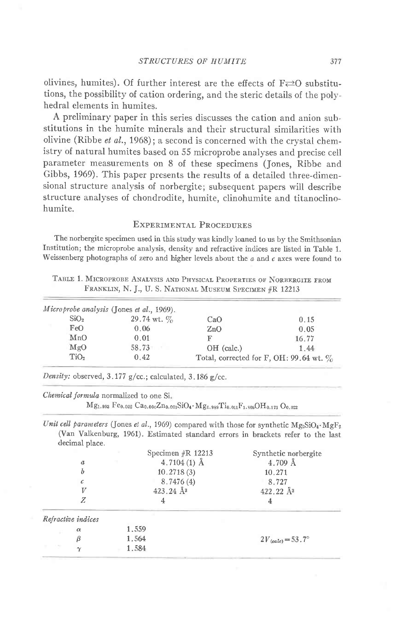olivines, humites). Of further interest are the effects of  $F \rightleftarrows 0$  substitutions, the possibility of cation ordering, and the steric details of the polyhedral elements in humites.

A preliminary paper in this series discusses the cation and anion substitutions in the humite minerals and their structural similarities with olivine (Ribbe *et al.*, 1968); a second is concerned with the crystal chemistry of natural humites based on 55 microprobe analyses and precise cell parameter measurements on 8 of these specimens (Jones, Ribbe and Gibbs, 1969). This paper presents the results of a detailed three-dimensional structure analysis of norbergite; subsequent papers will describe structure analyses of chondrodite, humite, clinohumite and titanoclinohumite.

## EXPERIMENTAL PROCEDURES

The norbergite specimen used in this study was kindly loaned to us by the Smithsonian Institution; the microprobe analysis, density and refractive indices are listed in Table 1. Weissenberg photographs of zero and higher levels about the  $a$  and  $c$  axes were found to

TABLE 1. MICROPROBE ANALYSIS AND PHYSICAL PROPERTIES OF NORBERGITE FROM FRANKLIN, N. J., U. S. NATIONAL MUSEUM SPECIMEN #R 12213

|                  | Microprobe analysis (Jones et al., 1969). |                                            |       |
|------------------|-------------------------------------------|--------------------------------------------|-------|
| SiO <sub>2</sub> | 29.74 wt. $\%$                            | CaO                                        | 0.15  |
| FeO              | 0.06                                      | ZnO                                        | 0.05  |
| MnO              | 0.01                                      | F                                          | 16.77 |
| MgO              | 58.73                                     | OH (calc.)                                 | 1.44  |
| TiO <sub>2</sub> | 0.42                                      | Total, corrected for F, OH: 99.64 wt. $\%$ |       |

Density: observed,  $3.177$  g/cc.; calculated,  $3.186$  g/cc.

Chemical formula normalized to one Si.

 $Mg_{1,993}$  Fe<sub>0,002</sub> Ca<sub>0,006</sub>Zn<sub>0,001</sub>SiO<sub>4</sub> · Mg<sub>c,989</sub>Ti<sub>0,011</sub>F<sub>1,805</sub>OH<sub>0,173</sub> O<sub>0,022</sub>

Unit cell parameters (Jones et al., 1969) compared with those for synthetic  $Mg_2SiO_4 \cdot MgF_2$ (Van Valkenburg, 1961). Estimated standard errors in brackets refer to the last decimal place.

|                    |       | Specimen $\#R$ 12213 | Synthetic norbergite                |
|--------------------|-------|----------------------|-------------------------------------|
| $\boldsymbol{a}$   |       | 4.7104 $(1)$ Å       | 4.709 Å                             |
| b                  |       | 10.2718(3)           | 10.271                              |
|                    |       | 8.7476(4)            | 8.727                               |
| V                  |       | $423.24 \text{ Å}^3$ | $422.22 \text{ Å}^3$                |
| Ζ                  |       |                      |                                     |
| Refractive indices |       |                      |                                     |
| $\alpha$           | 1.559 |                      |                                     |
|                    | 1.564 |                      | $2V_{\text{(calc)}} = 53.7^{\circ}$ |
| $\scriptstyle\sim$ | 1.584 |                      |                                     |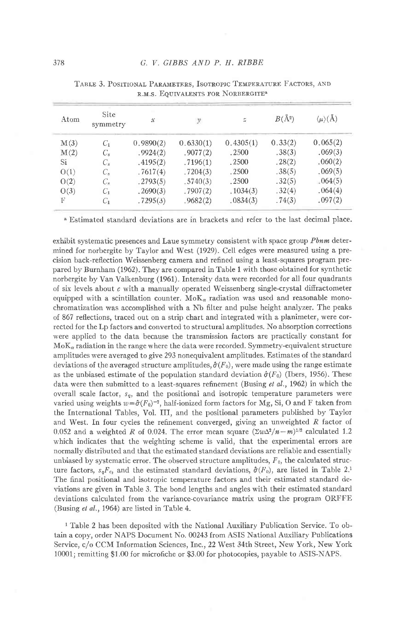| Atom | <b>Site</b><br>symmetry | $\boldsymbol{\mathcal{X}}$ | y         | $\widetilde{\omega}$ | $B(\AA^2)$ | $\langle \mu \rangle (\text{A})$ |
|------|-------------------------|----------------------------|-----------|----------------------|------------|----------------------------------|
| M(3) | $C_1$                   | 0,9890(2)                  | 0,6330(1) | 0.4305(1)            | 0.33(2)    | 0.065(2)                         |
| M(2) | $C_s$                   | .9924(2)                   | .9077(2)  | .2500                | .38(3)     | .069(3)                          |
| Si   | $C_{s}$                 | .4195(2)                   | .7196(1)  | .2500                | .28(2)     | .060(2)                          |
| O(1) | $C_{s}$                 | .7617(4)                   | .7204(3)  | .2500                | .38(5)     | .069(5)                          |
| O(2) | $C_{s}$                 | .2793(5)                   | .5740(3)  | .2500                | .32(5)     | $-064(5)$                        |
| O(3) | $C_{1}$                 | .2690(3)                   | .7907(2)  | .1034(3)             | .32(4)     | .064(4)                          |
| F    | $C_{1}$                 | .7295(3)                   | .9682(2)  | .0834(3)             | .74(3)     | .097(2)                          |

| TABLE 3. POSITIONAL PARAMETERS, ISOTROPIC TEMPERATURE FACTORS, AND |  |
|--------------------------------------------------------------------|--|
| R.M.S. EQUIVALENTS FOR NORBERGITE <sup>8</sup>                     |  |

a Estimated standard deviations are in brackets and refer to the last decimal place.

exhibit systematic presences and Laue symmetry consistent with space group Phnm determined for norbergite by Taylor and West (1929). Cell edges were measured using a precision back-reflection Weissenberg camera and refined using a least-squares program prepared by Burnham (1962). They are compared in Table 1 with those obtained for synthetic norbergite by Van Valkenburg (1961). Intensity data were recorded for all four quadrants of six levels about  $c$  with a manually operated Weissenberg single-crystal diffractometer equipped with a scintillation counter.  $M \circ K_{\alpha}$  radiation was used and reasonable monochromatization was accomplished with a Nb filter and pulse height analyzer. The peaks of 867 reflections, traced out on a strip chart and integrated with a planimeter, were corrected for the Lp factors and converted to structural amplitudes. No absorption corrections were applied to the data because the transmission factors are practically constant for  $MoK_{\alpha}$  radiation in the range where the data were recorded. Symmetry-equivalent structure amplitudes were averaged to give 293 nonequivalent amplitudes. Estimates of the standard deviations of the averaged structure amplitudes,  $\hat{\sigma}(F_0)$ , were made using the range estimate as the unbiased estimate of the population standard deviation  $\hat{\sigma}(F_0)$  (Ibers, 1956). These data were then submitted to a least-squares refinement (Busing et al., 1962) in which the overall scale factor,  $s_q$ , and the positional and isotropic temperature parameters were varied using weights  $w = \hat{\sigma}(F_0)^{-2}$ , half-ionized form factors for Mg, Si, O and F taken from the International Tables, Vol. III, and the positional parameters published by Taylor and West. In four cycles the refinement converged, giving an unweighted  $R$  factor of 0.052 and a weighted R of 0.024. The error mean square  $(\Sigma w \Delta^2 / n - m)^{1/2}$  calculated 1.2 which indicates that the weighting scheme is valid, that the experimental errors are normally distributed and that the estimated standard deviations are reliable and essentially unbiased by systematic error. The observed structure amplitudes,  $F_0$ , the calculated structure factors,  $s_qF_c$ , and the estimated standard deviations,  $\hat{\sigma}(F_0)$ , are listed in Table 2.<sup>1</sup> The final positional and isotropic temperature factors and their estimated standard deviations are given in Table 3. The bond lengths and angles with their estimated standard deviations calculated from the variance-covariance matrix using the program ORFFE (Busing et al., 1964) are listed in Table 4.

<sup>1</sup> Table 2 has been deposited with the National Auxiliary Publication Service. To obtain a copy, order NAPS Document No. 00243 from ASIS National Auxiliary Publications Service, c/o CCM Information Sciences, Inc., 22 West 34th Street, New York, New York 10001; remitting \$1.00 for microfiche or \$3.00 for photocopies, payable to ASIS-NAPS.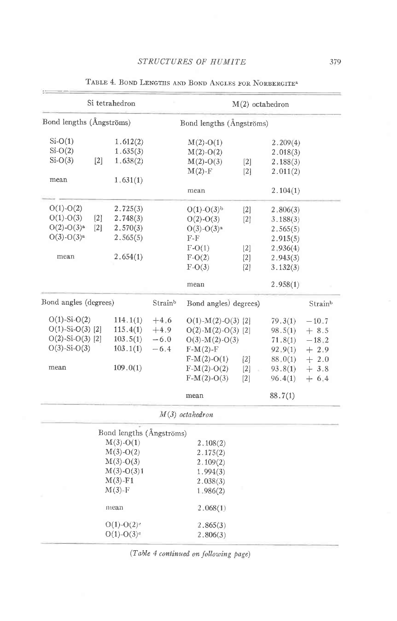|                          |                   | Si tetrahedron           |                       |                          | $M(2)$ octahedron |          |         |
|--------------------------|-------------------|--------------------------|-----------------------|--------------------------|-------------------|----------|---------|
| Bond lengths (Ångströms) |                   |                          |                       | Bond lengths (Ångströms) |                   |          |         |
| $Si-O(1)$                |                   | 1.612(2)                 |                       | $M(2)-O(1)$              |                   | 2.209(4) |         |
| $Si-O(2)$                |                   | 1.635(3)                 |                       | $M(2)-O(2)$              |                   | 2.018(3) |         |
| $Si-O(3)$                | $[2]$             | 1.638(2)                 |                       | $M(2)-O(3)$              | $[2]$             | 2.188(3) |         |
|                          |                   |                          |                       | $M(2)$ -F                | $\lceil 2 \rceil$ | 2.011(2) |         |
| mean                     |                   | 1.631(1)                 |                       |                          |                   |          |         |
|                          |                   |                          |                       | mean                     |                   | 2.104(1) |         |
| $O(1) - O(2)$            |                   | 2.725(3)                 |                       | $O(1) - O(3)^{b}$        | $\lceil 2 \rceil$ | 2,806(3) |         |
| $O(1) - O(3)$            | $\lceil 2 \rceil$ | 2.748(3)                 |                       | $O(2)-O(3)$              | $[2]$             | 3.188(3) |         |
| $O(2)-O(3)^a$            | $\lceil 2 \rceil$ | 2.570(3)                 |                       | $O(3)-O(3)^{a}$          |                   | 2.565(5) |         |
| $O(3)-O(3)^a$            |                   | 2.565(5)                 |                       | F-F                      |                   | 2.915(5) |         |
|                          |                   |                          |                       | $F-O(1)$                 | 2                 | 2,936(4) |         |
| mean                     |                   | 2.654(1)                 |                       | $F-O(2)$                 | $[2]$             | 2.943(3) |         |
|                          |                   |                          |                       | $F-O(3)$                 | [2]               | 3.132(3) |         |
|                          |                   |                          |                       | mean                     |                   | 2.958(1) |         |
| Bond angles (degrees)    |                   | Strainb                  | Bond angles) degrees) |                          |                   | Strainb  |         |
| $O(1)$ -Si- $O(2)$       |                   | 114.1(1)                 | $+4.6$                | $O(1)$ -M(2)-O(3)[2]     |                   | 79.3(1)  | $-10.7$ |
| $O(1)$ -Si- $O(3)$ [2]   |                   | 115.4(1)                 | $+4.9$                | $O(2)$ -M(2)-O(3)[2]     |                   | 98.5(1)  | $+8.5$  |
| $O(2)$ -Si- $O(3)$ [2]   |                   | 103.5(1)                 | $-6.0$                | $O(3)$ - $M(2)$ - $O(3)$ |                   | 71.8(1)  | $-18.2$ |
| $O(3)$ -Si- $O(3)$       |                   | 103.1(1)                 | $-6.4$                | $F-M(2)-F$               |                   | 92, 9(1) | $+2.9$  |
|                          |                   |                          |                       | $F-M(2)-O(1)$            | $[2]$             | 88,0(1)  | $+2.0$  |
| mean                     |                   | 109.0(1)                 |                       | $F-M(2)-O(2)$            | $[2]$             | 93.8(1)  | $+3.8$  |
|                          |                   |                          |                       | $F-M(2)-O(3)$            | $\lceil 2 \rceil$ | 96.4(1)  | $+ 6.4$ |
|                          |                   |                          |                       | mean                     |                   | 88.7(1)  |         |
|                          |                   |                          |                       | $M(3)$ octahedron        |                   |          |         |
|                          |                   | Bond lengths (Ångströms) |                       |                          |                   |          |         |
|                          |                   | $M(3)-O(1)$              |                       | 2.108(2)                 |                   |          |         |
|                          |                   | $M(3)-O(2)$              |                       | 2.175(2)                 |                   |          |         |
|                          |                   | $M(3)-O(3)$              |                       | 2.109(2)                 |                   |          |         |
|                          |                   | $M(3)-O(3)1$             |                       | 1.994(3)                 |                   |          |         |
|                          |                   | $M(3)$ -F1               |                       | 2.038(3)                 |                   |          |         |
|                          |                   | $M(3)$ -F                |                       | 1.986(2)                 |                   |          |         |
|                          |                   | niean                    |                       | 2.068(1)                 |                   |          |         |
|                          |                   | $O(1)-O(2)$ <sup>c</sup> |                       | 2.865(3)                 |                   |          |         |
|                          |                   | $O(1)-O(3)$ <sup>c</sup> |                       | 2.806(3)                 |                   |          |         |

TABLE 4. BOND LENGTHS AND BOND ANGLES FOR NORBERGITE<sup>3</sup>

(Table 4 continued on following page)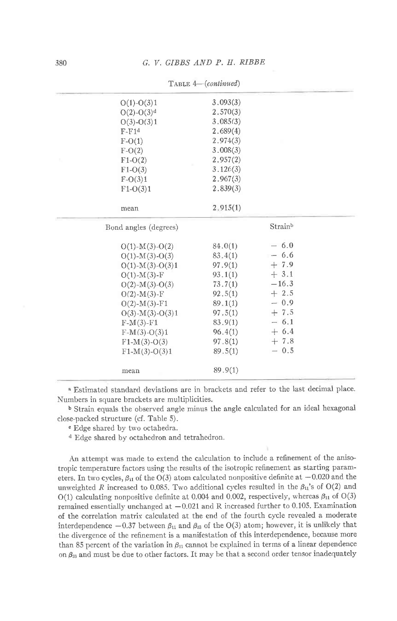| $O(1) - O(3)1$               | 3.093(3) |         |
|------------------------------|----------|---------|
| $O(2)$ - $O(3)$ <sup>d</sup> | 2.570(3) |         |
| $O(3)-O(3)1$                 | 3.085(3) |         |
| $F-F1d$                      | 2.689(4) |         |
| $F-O(1)$                     | 2.974(3) |         |
| $F-O(2)$                     | 3.008(3) |         |
| $F1-O(2)$                    | 2.957(2) |         |
| $F1-O(3)$                    | 3.126(3) |         |
| $F-O(3)1$                    | 2.967(3) |         |
| $F1-O(3)1$                   | 2.839(3) |         |
| mean                         | 2,915(1) |         |
| Bond angles (degrees)        |          | Strainb |
| $O(1)$ - $M(3)$ - $O(2)$     | 84.0(1)  | $-6.0$  |
| $O(1)$ -M(3)- $O(3)$         | 83.4(1)  | $-6.6$  |
| $O(1)$ -M(3)- $O(3)1$        | 97.9(1)  | $+7.9$  |
| $O(1)$ - $M(3)$ -F           | 93.1(1)  | $+3.1$  |
| $O(2)$ -M(3)-O(3)            | 73.7(1)  | $-16.3$ |
| $O(2)$ -M(3)-F               | 92.5(1)  | $+2.5$  |
| $O(2)$ -M(3)-F1              | 89.1(1)  | $-0.9$  |
| $O(3)$ - $M(3)$ - $O(3)1$    | 97.5(1)  | $+7.5$  |
| $F-M(3)-F1$                  | 83.9(1)  | $-6.1$  |
| $F-M(3)-O(3)1$               | 96.4(1)  | $+6.4$  |
| $F1-M(3)-O(3)$               | 97.8(1)  | $+7.8$  |
| $F1-M(3)-O(3)1$              | 89.5(1)  | $-0.5$  |
| mean                         | 89.9(1)  |         |
|                              |          |         |

TABLE 4-(continued)

n Estimated standard deviations are in brackets and refer to the last decimal place. Numbers in square brackets are multiplicities.

b Strain equals the observed angle minus the angle calculated for an ideal hexagonal close-packed structure (cf. Table 5).

o Edge shared by two octahedra.

d Edge shared by octahedron and tetrahedron.

An attempt was made to extend the calculation to include a refinement of the anisotropic temperature factors using the results of the isotropic refinement as starting parameters. In two cycles,  $\beta_{11}$  of the O(3) atom calculated nonpositive definite at  $-0.020$  and the unweighted R increased to 0.085. Two additional cycles resulted in the  $\beta_{11}$ 's of O(2) and O(1) calculating nonpositive definite at 0.004 and 0.002, respectively, whereas  $\beta_{11}$  of O(3) remained essentially unchanged at  $-0.021$  and R increased further to 0.105. Examination of the correlation matrix calculated at the end of the fourth cycle revealed a moderate interdependence  $-0.37$  between  $\beta_{11}$  and  $\beta_{33}$  of the O(3) atom; however, it is unlikely that the divergence of the refinement is a manifestation of this interdependence, because more than 85 percent of the variation in  $\beta_{11}$  cannot be cxplained in terms of a linear dependence on  $\beta_{33}$  and must be due to other factors. It may be that a second order tensor inadequately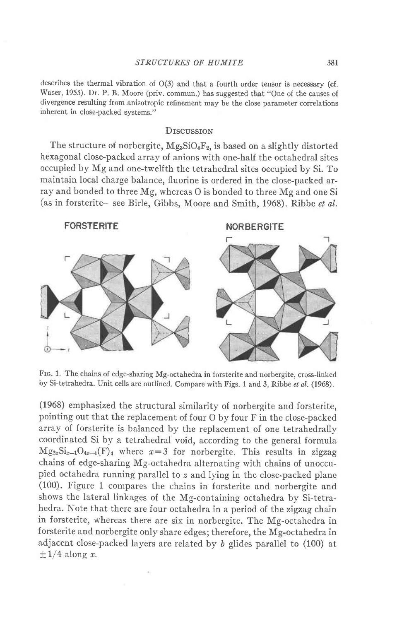describes the thermal vibration of O(3) and that a fourth order tensor is necessary (cf. Waser, 1955). Dr. P. B. Moore (priv. commun.) has suggested that "One of the causes of divergence resulting from anisotropic refinement may be the close parameter correlations inherent in close-packed systems."

### **D**rscussion

The structure of norbergite,  $Mg_3SiO_4F_2$ , is based on a slightly distorted hexagonal close-packed array of anions with one-half the octahedral sites occupied by Mg and one-twelfth the tetrahedral sites occupied by Si. To maintain local charge balance, fluorine is ordered in the close-packed array and bonded to three Mg, whereas O is bonded to three Mg and one Si (as in forsterite-see Birle, Gibbs, Moore and Smith, 1968). Ribbe et al.



FIG. 1. The chains of edge-sharing Mg-octahedra in forsterite and norbergite, cross-linked by Si-tetrahedra. Unit cells are outlined. Compare with Figs. 1 and 3, Ribbe et al. (1968).

(1968) emphasized the structural similarity of norbergite and forsterite, pointing out that the replacement of four O by four F in the close-packed array of forsterite is balanced by the replacement of one tetrahedrally coordinated Si by a tetrahedral void, according to the general formula  $Mg_{2x}Si_{x-1}O_{4x-4}(F)_4$  where  $x=3$  for norbergite. This results in zigzag chains of edge-sharing Mg-octahedra alternating with chains of unoccupied octahedra running parallel to z and lying in the close-packed plane (100). Figure 1 compares the chains in forsterite and norbergite and shows the lateral Iinkages of the Mg-containing octahedra by Si-tetrahedra. Note that there are four octahedra in a period of the zigzag chain in forsterite, whereas there are six in norbergite. The Mg-octahedra in forsterite and norbergite only share edges; therefore, the Mg-octahedra in adjacent close-packed layers are related by  $b$  glides parallel to (100) at  $\pm$  1/4 along x.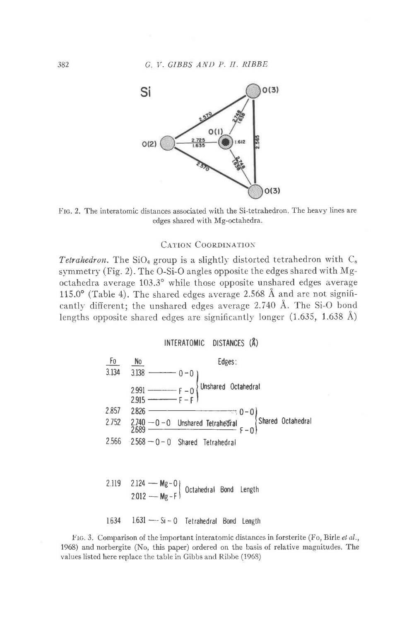

FIG. 2. The interatomic distances associated with the Si-tetrahedron. The heavy lines are edges shared with Mg-octahedra.

### **CATION COORDINATION**

*Tetrahedron*. The SiO<sub>4</sub> group is a slightly distorted tetrahedron with  $C_s$ symmetry (Fig. 2). The O-Si-O angles opposite the edges shared with Mgoctahedra average 103.3° while those opposite unshared edges average 115.0° (Table 4). The shared edges average 2.568 Å and are not significantly different; the unshared edges average 2.740 Å. The Si-O bond lengths opposite shared edges are significantly longer  $(1.635, 1.638 \text{ Å})$ 

INTERATOMIC DISTANCES (Å)



FIG. 3. Comparison of the important interatomic distances in forsterite (Fo, Birle et al., 1968) and norbergite (No, this paper) ordered on the basis of relative magnitudes. The values listed here replace the table in Gibbs and Ribbe (1968)

382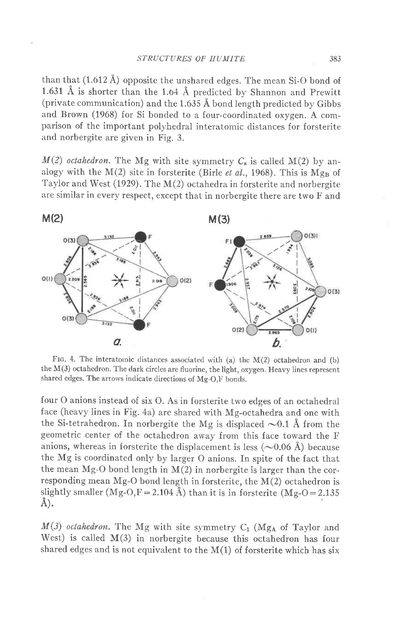than that  $(1.612 \text{ Å})$  opposite the unshared edges. The mean Si-O bond of 1.631 Å is shorter than the 1.64 Å predicted by Shannon and Prewitt (private communication) and the  $1.635 \text{ Å}$  bond length predicted by Gibbs and Brown (1968) for Si bonded to a four-coordinated oxygen. A comparison of the important polyhedral interatomic distances for forsterite and norbergite are given in Fig. 3.

 $M(2)$  octahedron. The Mg with site symmetry  $C_8$  is called  $M(2)$  by analogy with the  $M(2)$  site in forsterite (Birle *et al.*, 1968). This is  $Mg_B$  of Taylor and West (1929). The M(2) octahedra in forsterite and norbergite are similar in every respect, except that in norbergite there are two F and



FIG. 4. The interatomic distances associated with (a) the  $M(2)$  octahedron and (b) the  $M(3)$  octahedron. The dark circles are fluorine, the light, oxygen. Heavy lines represent shared edges. The arrows indicate directions of Mg-O,F bonds.

four O anions instead of six O. As in forsterite two edges of an octahedral face (heavy lines in Fig. 4a) are shared with Mg-octahedra and one with the Si-tetrahedron. In norbergite the Mg is displaced  $\sim 0.1$  Å from the geometric center of the octahedron away from this face toward the F anions, whereas in forsterite the displacement is less  $(\sim 0.06 \text{ Å})$  because the Mg is coordinated only by larger O anions. In spite of the fact that the mean  $Mg-O$  bond length in  $M(2)$  in norbergite is larger than the corresponding mean Mg-O bond length in forsterite, the M(2) octahedron is slightly smaller (Mg-O,F = 2.104 Å) than it is in forsterite (Mg-O = 2.135 A).

 $M(3)$  octahedron. The Mg with site symmetry C<sub>1</sub> (Mg<sub>A</sub> of Taylor and West) is called  $M(3)$  in norbergite because this octahedron has four shared edges and is not equivalent to the  $M(1)$  of forsterite which has six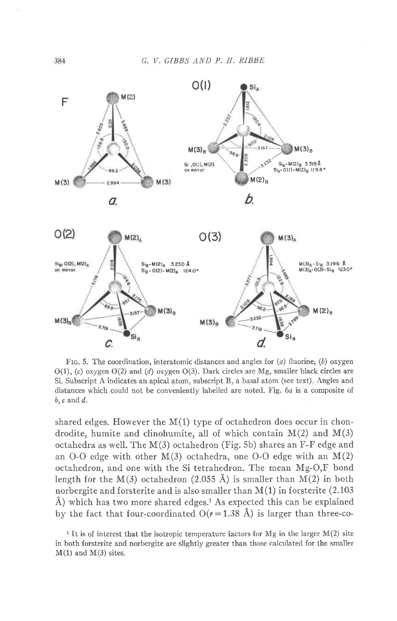

FIG. 5. The coordination, interatomic distances and angles for  $(a)$  fluorine,  $(b)$  oxygen  $O(1)$ , (c) oxygen  $O(2)$  and (d) oxygen  $O(3)$ . Dark circles are Mg, smaller black circles are Si. Subscript A indicates an apical atom, subscript B, a basal atom (see text). Angles and distances which could not be conveniently labelled are noted. Fig. 6a is a composite of  $b, c$  and  $d$ .

shared edges. However the M(1) type of octahedron does occur in chondrodite, humite and clinohumite, all of which contain  $M(2)$  and  $M(3)$ octahedra as well. The M(3) octahedron (Fig. 5b) shares an F-F edge and an O-O edge with other  $M(3)$  octahedra, one O-O edge with an  $M(2)$ octahedron, and one with the Si tetrahedron. The mean Mg-O,F bond length for the  $M(3)$  octahedron (2.055 Å) is smaller than  $M(2)$  in both norbergite and forsterite and is also smaller than  $M(1)$  in forsterite (2.103)  $\AA$ ) which has two more shared edges.<sup>1</sup> As expected this can be explained by the fact that four-coordinated  $O(r=1.38 \text{ Å})$  is larger than three-co-

<sup>1</sup> It is of interest that the isotropic temperature factors for Mg in the larger  $M(2)$  site in both forsterite and norbergite are slightly greater than those calculated for the smaller  $M(1)$  and  $M(3)$  sites.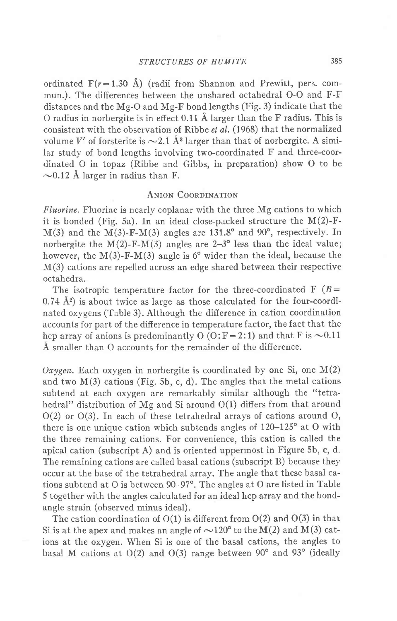ordinated  $F(r=1.30 \text{ Å})$  (radii from Shannon and Prewitt, pers. commun.). The differences between the unshared octahedral O-O and F-F distances and the Mg-O and Mg-F bond lengths (Fig. 3) indicate that the O radius in norbergite is in effect 0.11 A larger than the F radius. This is consistent with the observation of Ribbe et al. (1968) that the normalized volume V' of forsterite is  $\sim$  2.1 Å<sup>3</sup> larger than that of norbergite. A similar study of bond lengths involving two-coordinated F and three-coordinated O in topaz (Ribbe and Gibbs, in preparation) show O to be  $\sim$ 0.12 Å larger in radius than F.

## ANION COORDINATION

Fluorine. Fluorine is nearly coplanar with the three Mg cations to which it is bonded (Fig. 5a). In an ideal close-packed structure the  $M(2)$ -F- $M(3)$  and the  $M(3)$ -F-M(3) angles are 131.8° and 90°, respectively. In norbergite the  $M(2)$ -F- $M(3)$  angles are 2-3<sup>o</sup> less than the ideal value; however, the  $M(3)$ -F- $M(3)$  angle is 6° wider than the ideal, because the M(3) cations are repelled across an edge shared between their respective octahedra.

The isotropic temperature factor for the three-coordinated F  $(B=$  $0.74 \text{ Å}^2$ ) is about twice as large as those calculated for the four-coordinated oxygens (Table 3). Although the difference in cation coordination accounts for part of the difference in temperature factor, the fact that the hcp array of anions is predominantly O (O:F=2:1) and that F is  $\sim 0.11$ A smaller than O accounts for the remainder of the difference.

Oxygen. Each oxygen in norbergite is coordinated by one Si, one  $M(2)$ and two  $M(3)$  cations (Fig. 5b, c, d). The angles that the metal cations subtend at each oxygen are remarkably similar although the "tetrahedral" distribution of Mg and Si around O(1) differs from that around  $O(2)$  or  $O(3)$ . In each of these tetrahedral arrays of cations around O, there is one unique cation which subtends angles of  $120-125^{\circ}$  at O with the three remaining cations. For convenience, this cation is called the apical cation (subscript A) and is oriented uppermost in Figure 5b, c, d. The remaining cations are called basal cations (subscript B) because they occur at the base of the tetrahedral array. The angle that these basal cations subtend at O is between  $90-97^\circ$ . The angles at O are listed in Table 5 together with the angles calculated for an ideal hcp array and the bondangle strain (observed minus ideal).

The cation coordination of  $O(1)$  is different from  $O(2)$  and  $O(3)$  in that Si is at the apex and makes an angle of  $\sim 120^{\circ}$  to the M(2) and M(3) cations at the oxygen. When Si is one of the basal cations, the angles to basal M cations at  $O(2)$  and  $O(3)$  range between  $90^{\circ}$  and  $93^{\circ}$  (ideally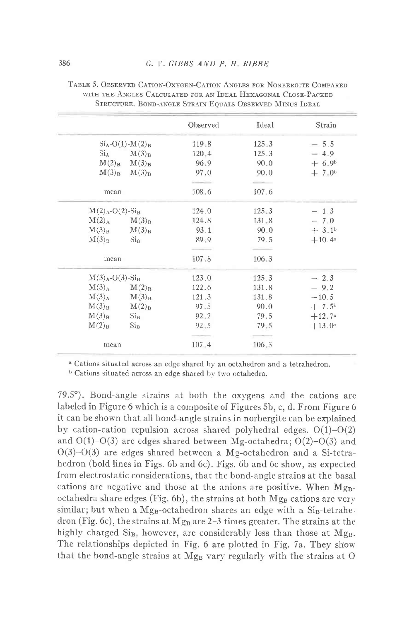|                               |                          | Observed | Ideal | Strain          |
|-------------------------------|--------------------------|----------|-------|-----------------|
|                               | $Si_A-O(1)-M(2)_B$       | 119.8    | 125.3 | $-5.5$          |
|                               | $Si_A$ $M(3)_B$          | 120.4    | 125.3 | $-4.9$          |
|                               | $M(2)_B$ $M(3)_B$        | 96.9     | 90.0  | $+6.9b$         |
|                               | $M(3)_B$ $M(3)_B$        | 97.0     | 90.0  | $+7.0b$         |
|                               |                          |          |       |                 |
| mean                          |                          | 108.6    | 107.6 |                 |
| $M(2)_{A} - O(2) - Si_{B}$    |                          | 124.0    | 125.3 | $-1.3$          |
|                               | $M(2)_{A}$ $M(3)_{B}$    | 124.8    | 131.8 | $-7.0$          |
| $M(3)_B$                      | M(3) <sub>B</sub>        | 93.1     | 90.0  | $+3.1b$         |
| M(3) <sub>B</sub>             | $\mathrm{Si}_\mathrm{B}$ | 89.9     | 79.5  | $+10.4^{\rm a}$ |
|                               |                          |          |       |                 |
| mean                          |                          | 107.8    | 106.3 |                 |
| $M(3)A$ -O(3)-Si <sub>B</sub> |                          | 123.0    | 125.3 | $-2.3$          |
|                               | $M(3)_{A}$ $M(2)_{B}$    | 122.6    | 131.8 | $-9.2$          |
| $M(3)_{A}$                    | M(3) <sub>B</sub>        | 121.3    | 131.8 | $-10.5$         |
| M(3) <sub>B</sub>             | M(2) <sub>B</sub>        | 97.5     | 90.0  | $+7.5^{\rm b}$  |
| M(3) <sub>B</sub>             | $\mathrm{Si}_\mathrm{B}$ | 92.2     | 79.5  | $+12.7^{\circ}$ |
| $M(2)_B$                      | $\mathrm{Si}_\mathrm{B}$ | 92.5     | 79.5  | $+13.0^{\rm a}$ |
|                               |                          |          |       |                 |
| mean                          |                          | 107.4    | 106.3 |                 |

TABLE 5. OBSERVED CATION-OXYGEN-CATION ANGLES FOR NORBERGITE COMPARED WITH THE ANGLES CALCULATED FOR AN IDEAL HEXAGONAL CLOSE-PACKED STRUCTURE. BOND-ANGLE STRAIN EQUALS OBSERVED MINUS IDEAL

<sup>a</sup> Cations situated across an edge shared by an octahedron and a tetrahedron.

<sup>b</sup> Cations situated across an edge shared by two octahedra.

79.5°). Bond-angle strains at both the oxygens and the cations are labeled in Figure 6 which is a composite of Figures 5b, c, d. From Figure 6 it can be shown that all bond-angle strains in norbergite can be explained by cation-cation repulsion across shared polyhedral edges.  $O(1)-O(2)$ and  $O(1)-O(3)$  are edges shared between Mg-octahedra;  $O(2)-O(3)$  and  $O(3)-O(3)$  are edges shared between a Mg-octahedron and a Si-tetrahedron (bold lines in Figs. 6b and 6c). Figs. 6b and 6c show, as expected from electrostatic considerations, that the bond-angle strains at the basal cations are negative and those at the anions are positive. When Mg<sub>B</sub>octahedra share edges (Fig. 6b), the strains at both Mg<sub>B</sub> cations are very similar; but when a  $Mg_B$ -octahedron shares an edge with a  $Si_B$ -tetrahedron (Fig. 6c), the strains at  $Mg_B$  are 2-3 times greater. The strains at the highly charged  $Si_B$ , however, are considerably less than those at  $Mg_B$ . The relationships depicted in Fig. 6 are plotted in Fig. 7a. They show that the bond-angle strains at Mg<sub>B</sub> vary regularly with the strains at O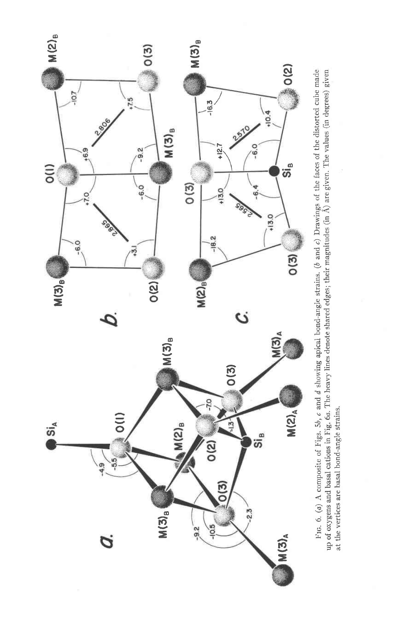

Fig. 6. (a) A composite of Figs. 5b,  $\epsilon$  and  $d$  showing apical bond-angle strains. (b and c) Drawings of the faces of the distorted cube made up of oxygens and basal cations in Fig. 6o. The heavy lines denote shared edges; their magnitudes (in Â) are given. The values (in degrees) given at the vertices are basal bond-angle strains.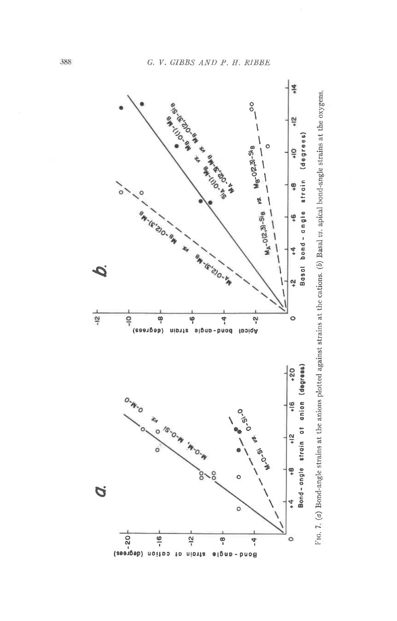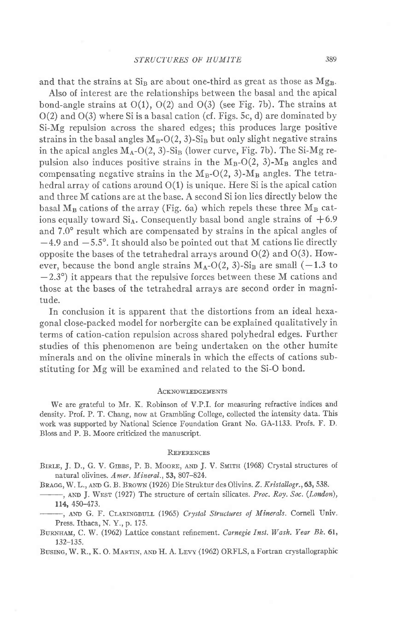and that the strains at  $Si<sub>B</sub>$  are about one-third as great as those as  $Mg<sub>B</sub>$ .

Also of interest are the relationships between the basal and the apical bond-angle strains at  $O(1)$ ,  $O(2)$  and  $O(3)$  (see Fig. 7b). The strains at  $O(2)$  and  $O(3)$  where Si is a basal cation (cf. Figs. 5c, d) are dominated by Si-Mg repulsion across the shared edges; this produces large positive strains in the basal angles  $M_B-O(2, 3)$ -Si<sub>B</sub> but only slight negative strains in the apical angles  $M_A-O(2, 3)$ -Si<sub>B</sub> (lower curve, Fig. 7b). The Si-Mg repulsion also induces positive strains in the  $M_B-O(2, 3)$ - $M_B$  angles and compensating negative strains in the  $M_B-O(2, 3)$ - $M_B$  angles. The tetrahedral array of cations around  $O(1)$  is unique. Here Si is the apical cation and three M cations are at the base. A second Si ion lies directly below the basal  $M_B$  cations of the array (Fig. 6a) which repels these three  $M_B$  cations equally toward  $Si<sub>A</sub>$ . Consequently basal bond angle strains of  $+6.9$ and 7.0<sup>o</sup> result which are compensated by strains in the apical angles of  $-4.9$  and  $-5.5^\circ$ . It should also be pointed out that M cations lie directly opposite the bases of the tetrahedral arrays around  $O(2)$  and  $O(3)$ . However, because the bond angle strains  $M_A-O(2,3)$ -Si<sub>B</sub> are small (-1.3 to  $-2.3^{\circ}$ ) it appears that the repulsive forces between these M cations and those at the bases of the tetrahedral arrays are second order in magnitude.

In conclusion it is apparent that the distortions from an ideal hexagonal close-packed model {or norbergite can be explained qualitatively in terms of cation-cation repulsion across shared polyhedral edges. Further studies of this phenomenon are being undertaken on the other humite minerals and on the olivine minerals in which the effects of cations substituting for Mg will be examined and related to the Si-O bond.

#### **ACKNOWLEDGEMENTS**

We are grateful to Mr. K. Robinson of V.P.L for measuring refractive indices and density. Prof. P. T. Chang, now at Grambling College, collected the intensity data. This work was supported by National Science Foundation Grant No. GA-1133. Profs. F. D. Bloss and P. B. Moore criticized the manuscript.

#### REFERENCES

BIRLE, J. D., G. V. GIBBS, P. B. MOORE, AND J. V. SMITH (1968) Crystal structures of natural olivines. Amer. Mineral., 53, 807-824.

BRAGG, W. L., AND G. B. BROWN (1926) Die Struktur des Olivins. Z. Kristallogr., 63, 538.

-, AND J. WEST (1927) The structure of certain silicates. Proc. Roy. Soc. (London), 114, 450-473.

-, AND G. F. CLARINGBULL (1965) Crystal Structures of Minerals. Cornell Univ. Press. fthaca, N. Y., p. 175.

BURNHAM, C. W. (1962) Lattice constant refinement. Carnegie Inst. Wash. Year Bk. 61, 132-t35.

BUSING, W. R., K. O. MARTIN, AND H. A. LEVY (1962) ORFLS, a Fortran crystallographic